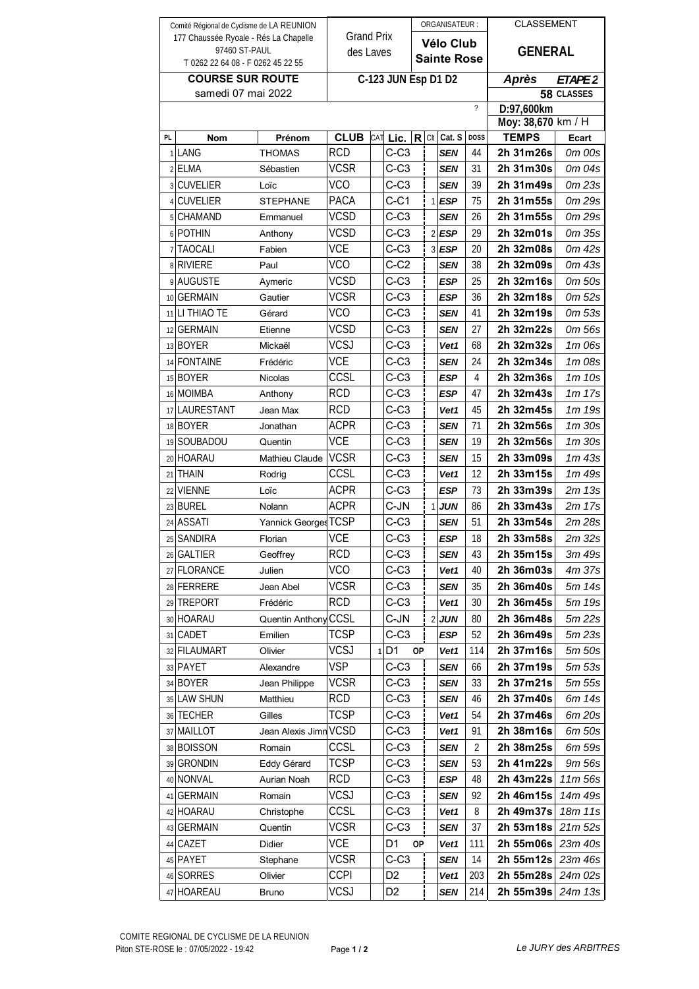| Comité Régional de Cyclisme de LA REUNION          |                              |                       |                            |     |                | ORGANISATEUR: |                |                          |                          | <b>CLASSEMENT</b>      |                   |
|----------------------------------------------------|------------------------------|-----------------------|----------------------------|-----|----------------|---------------|----------------|--------------------------|--------------------------|------------------------|-------------------|
| 177 Chaussée Ryoale - Rés La Chapelle              |                              |                       | <b>Grand Prix</b>          |     |                | Vélo Club     |                |                          |                          |                        |                   |
| 97460 ST-PAUL<br>T 0262 22 64 08 - F 0262 45 22 55 |                              |                       | des Laves                  |     |                |               |                | <b>Sainte Rose</b>       |                          | <b>GENERAL</b>         |                   |
| <b>COURSE SUR ROUTE</b>                            |                              |                       |                            |     |                |               |                |                          |                          |                        |                   |
| samedi 07 mai 2022                                 |                              |                       | C-123 JUN Esp D1 D2        |     |                |               |                |                          | <b>Après</b>             | ETAPE <sub>2</sub>     |                   |
|                                                    |                              |                       |                            |     |                |               |                | $\overline{\phantom{0}}$ | 58 CLASSES<br>D:97,600km |                        |                   |
|                                                    |                              |                       |                            |     |                |               |                |                          | Moy: 38,670 km / H       |                        |                   |
| PL                                                 | Nom                          | Prénom                | <b>CLUB</b>                | CAT | Lic.           | R             | Clt            | Cat. S                   | <b>DOSS</b>              | <b>TEMPS</b>           | Ecart             |
|                                                    | 1 LANG                       | <b>THOMAS</b>         | <b>RCD</b>                 |     | $C-C3$         |               |                | <b>SEN</b>               | 44                       | 2h 31m26s              | 0m 00s            |
|                                                    | 2 ELMA                       | Sébastien             | <b>VCSR</b>                |     | $C-C3$         |               |                | SEN                      | 31                       | 2h 31m30s              | 0m 04s            |
|                                                    | 3 CUVELIER                   | Loïc                  | <b>VCO</b>                 |     | $C-C3$         |               |                | <b>SEN</b>               | 39                       | 2h 31m49s              | 0m 23s            |
|                                                    | 4 CUVELIER                   | <b>STEPHANE</b>       | PACA                       |     | $C-C1$         |               | $\mathbf{1}$   | ESP                      | 75                       | 2h 31m55s              | 0m 29s            |
|                                                    | 5 CHAMAND                    | Emmanuel              | <b>VCSD</b>                |     | $C-C3$         |               |                | SEN                      | 26                       | 2h 31m55s              | 0m 29s            |
|                                                    | 6 POTHIN                     | Anthony               | <b>VCSD</b>                |     | $C-C3$         |               |                | $2$ <b>ESP</b>           | 29                       | 2h 32m01s              | 0m 35s            |
|                                                    | 7 TAOCALI                    | Fabien                | VCE                        |     | $C-C3$         |               |                | $3$ <b>ESP</b>           | 20                       | 2h 32m08s              | 0m 42s            |
|                                                    | 8 RIVIERE                    | Paul                  | <b>VCO</b>                 |     | $C-C2$         |               |                | SEN                      | 38                       | 2h 32m09s              | 0m 43s            |
|                                                    | 9 AUGUSTE                    |                       | <b>VCSD</b>                |     | $C-C3$         |               |                | <b>ESP</b>               | 25                       | 2h 32m16s              | 0m 50s            |
|                                                    |                              | Aymeric               | <b>VCSR</b>                |     |                |               |                |                          |                          |                        |                   |
|                                                    | 10 GERMAIN<br>11 LI THIAO TE | Gautier               | <b>VCO</b>                 |     | $C-C3$         |               |                | ESP                      | 36                       | 2h 32m18s<br>2h 32m19s | 0m 52s            |
|                                                    |                              | Gérard                |                            |     | $C-C3$         |               |                | SEN                      | 41                       | 2h 32m22s              | 0m 53s            |
|                                                    | 12 GERMAIN<br>13 BOYER       | Etienne<br>Mickaël    | <b>VCSD</b><br><b>VCSJ</b> |     | $C-C3$<br>C-C3 |               |                | SEN<br>Vet1              | 27<br>68                 | 2h 32m32s              | 0m 56s<br>1m 06s  |
|                                                    |                              |                       | <b>VCE</b>                 |     | $C-C3$         |               |                |                          |                          |                        |                   |
|                                                    | 14 FONTAINE<br>15 BOYER      | Frédéric              | CCSL                       |     | $C-C3$         |               |                | SEN                      | 24<br>4                  | 2h 32m34s<br>2h 32m36s | 1m 08s            |
|                                                    |                              | <b>Nicolas</b>        | <b>RCD</b>                 |     |                |               |                | ESP                      |                          |                        | 1m10s             |
|                                                    | 16 MOIMBA                    | Anthony               | <b>RCD</b>                 |     | $C-C3$         |               |                | ESP                      | 47                       | 2h 32m43s              | $1m$ 17s          |
|                                                    | 17 LAURESTANT                | Jean Max              |                            |     | $C-C3$         |               |                | Vet1                     | 45                       | 2h 32m45s              | $1m$ 19 $s$       |
|                                                    | 18 BOYER                     | Jonathan              | <b>ACPR</b>                |     | $C-C3$         |               |                | SEN                      | 71                       | 2h 32m56s              | $1m$ $30s$        |
|                                                    | 19 SOUBADOU                  | Quentin               | <b>VCE</b>                 |     | $C-C3$         |               |                | <b>SEN</b>               | 19                       | 2h 32m56s              | 1m 30s            |
|                                                    | 20 HOARAU                    | Mathieu Claude        | <b>VCSR</b>                |     | C-C3           |               |                | SEN                      | 15                       | 2h 33m09s              | $1m$ 43s          |
|                                                    | 21 THAIN                     | Rodrig                | CCSL                       |     | $C-C3$         |               |                | Vet1                     | 12                       | 2h 33m15s              | 1m 49s            |
|                                                    | 22 VIENNE                    | Loïc                  | ACPR                       |     | C-C3           |               |                | ESP                      | 73                       | 2h 33m39s              | $2m$ 13s          |
|                                                    | 23 BUREL                     | Nolann                | <b>ACPR</b>                |     | C-JN           |               | $\mathbf{1}$   | JUN                      | 86                       | 2h 33m43s              | 2m 17s            |
|                                                    | 24 ASSATI                    | Yannick Georges TCSP  |                            |     | $C-C3$         |               |                | <b>SEN</b>               | 51                       | 2h 33m54s              | 2m 28s            |
|                                                    | 25 SANDIRA                   | Florian               | <b>VCE</b>                 |     | $C-C3$         |               |                | <b>ESP</b>               | 18                       | 2h 33m58s              | 2m <sub>32s</sub> |
|                                                    | 26 GALTIER                   | Geoffrey              | <b>RCD</b>                 |     | C-C3           |               |                | SEN                      | 43                       | 2h 35m15s              | 3m 49s            |
|                                                    | 27 FLORANCE                  | Julien                | VCO                        |     | $C-C3$         |               |                | Vet1                     | 40                       | 2h 36m03s              | 4m 37s            |
|                                                    | 28 FERRERE                   | Jean Abel             | VCSR                       |     | $C-C3$         |               |                | SEN                      | 35                       | 2h 36m40s              | 5m 14s            |
|                                                    | 29 TREPORT                   | Frédéric              | RCD                        |     | $C-C3$         |               |                | Vet1                     | 30                       | 2h 36m45s              | 5m 19s            |
|                                                    | 30 HOARAU                    | Quentin Anthony CCSL  |                            |     | C-JN           |               | $\overline{2}$ | <b>JUN</b>               | 80                       | 2h 36m48s              | 5m 22s            |
|                                                    | 31 CADET                     | Emilien               | TCSP                       |     | $C-C3$         |               |                | <b>ESP</b>               | 52                       | 2h 36m49s              | 5m 23s            |
|                                                    | 32 FILAUMART                 | Olivier               | VCSJ<br>VSP                | 1   | D <sub>1</sub> | <b>OP</b>     |                | Vet1                     | 114                      | 2h 37m16s              | 5m 50s            |
|                                                    | 33 PAYET                     | Alexandre             |                            |     | $C-C3$         |               |                | <b>SEN</b>               | 66                       | 2h 37m19s              | 5m 53s            |
|                                                    | 34 BOYER                     | Jean Philippe         | VCSR                       |     | $C-C3$         |               |                | <b>SEN</b>               | 33                       | 2h 37m21s              | 5m 55s            |
|                                                    | 35 LAW SHUN                  | Matthieu              | RCD                        |     | $C-C3$         |               |                | <b>SEN</b>               | 46                       | 2h 37m40s              | 6m 14s            |
|                                                    | 36 TECHER                    | Gilles                | TCSP                       |     | C-C3           |               |                | Vet1                     | 54                       | 2h 37m46s              | 6m 20s            |
|                                                    | 37 MAILLOT                   | Jean Alexis Jimn VCSD |                            |     | C-C3           |               |                | Vet1                     | 91                       | 2h 38m16s              | 6m 50s            |
|                                                    | 38 BOISSON                   | Romain                | CCSL                       |     | $C-C3$         |               |                | <b>SEN</b>               | 2                        | 2h 38m25s              | 6m 59s            |
|                                                    | 39 GRONDIN                   | Eddy Gérard           | TCSP                       |     | $C-C3$         |               |                | SEN                      | 53                       | 2h 41m22s              | 9m 56s            |
|                                                    | 40 NONVAL                    | Aurian Noah           | RCD                        |     | $C-C3$         |               |                | ESP                      | 48                       | 2h 43m22s              | 11m 56s           |
| 41                                                 | <b>GERMAIN</b>               | Romain                | <b>VCSJ</b>                |     | $C-C3$         |               |                | SEN                      | 92                       | 2h 46m15s              | 14m 49s           |
|                                                    | 42 HOARAU                    | Christophe            | CCSL                       |     | $C-C3$         |               |                | Vet1                     | 8                        | 2h 49m37s              | 18m 11s           |
|                                                    | 43 GERMAIN                   | Quentin               | VCSR                       |     | C-C3           |               |                | SEN                      | 37                       | 2h 53m18s              | 21m52s            |
|                                                    | 44 CAZET                     | Didier                | VCE                        |     | D1             | ОP            |                | Vet1                     | 111                      | 2h 55m06s              | 23m 40s           |
|                                                    | 45 PAYET                     | Stephane              | VCSR                       |     | $C-C3$         |               |                | <b>SEN</b>               | 14                       | 2h 55m12s              | 23m 46s           |
|                                                    | 46 SORRES                    | Olivier               | <b>CCPI</b>                |     | D <sub>2</sub> |               |                | Vet1                     | 203                      | 2h 55m28s              | 24m 02s           |
|                                                    | 47 HOAREAU                   | <b>Bruno</b>          | VCSJ                       |     | D <sub>2</sub> |               |                | <b>SEN</b>               | 214                      | 2h 55m39s              | 24m 13s           |

Page 1/2